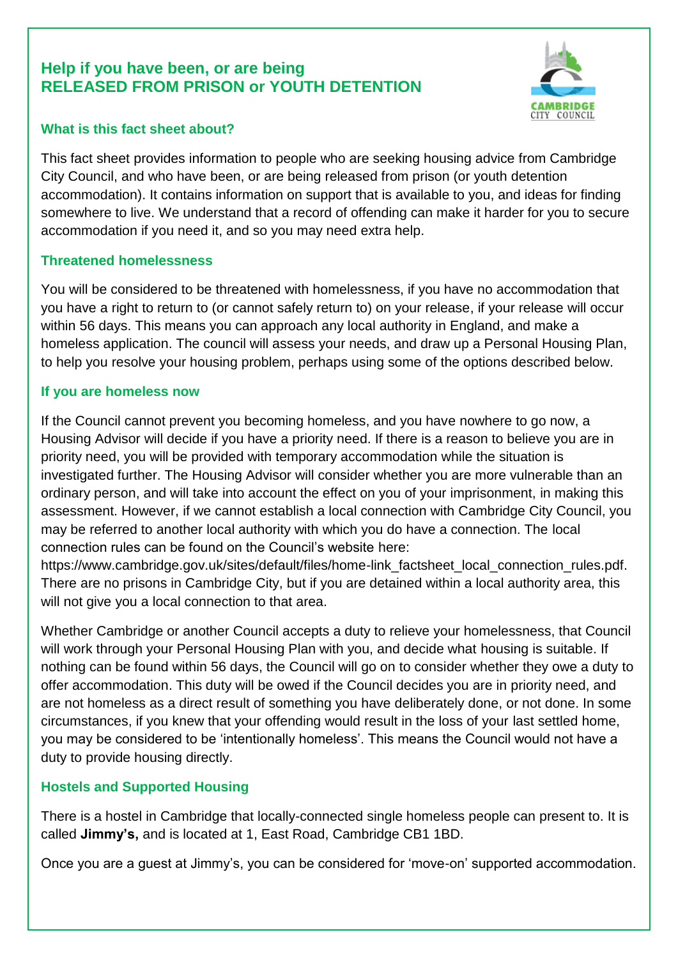# **Help if you have been, or are being RELEASED FROM PRISON or YOUTH DETENTION**



#### **What is this fact sheet about?**

This fact sheet provides information to people who are seeking housing advice from Cambridge City Council, and who have been, or are being released from prison (or youth detention accommodation). It contains information on support that is available to you, and ideas for finding somewhere to live. We understand that a record of offending can make it harder for you to secure accommodation if you need it, and so you may need extra help.

# **Threatened homelessness**

You will be considered to be threatened with homelessness, if you have no accommodation that you have a right to return to (or cannot safely return to) on your release, if your release will occur within 56 days. This means you can approach any local authority in England, and make a homeless application. The council will assess your needs, and draw up a Personal Housing Plan, to help you resolve your housing problem, perhaps using some of the options described below.

# **If you are homeless now**

If the Council cannot prevent you becoming homeless, and you have nowhere to go now, a Housing Advisor will decide if you have a priority need. If there is a reason to believe you are in priority need, you will be provided with temporary accommodation while the situation is investigated further. The Housing Advisor will consider whether you are more vulnerable than an ordinary person, and will take into account the effect on you of your imprisonment, in making this assessment. However, if we cannot establish a local connection with Cambridge City Council, you may be referred to another local authority with which you do have a connection. The local connection rules can be found on the Council's website here:

https://www.cambridge.gov.uk/sites/default/files/home-link\_factsheet\_local\_connection\_rules.pdf. There are no prisons in Cambridge City, but if you are detained within a local authority area, this will not give you a local connection to that area.

Whether Cambridge or another Council accepts a duty to relieve your homelessness, that Council will work through your Personal Housing Plan with you, and decide what housing is suitable. If nothing can be found within 56 days, the Council will go on to consider whether they owe a duty to offer accommodation. This duty will be owed if the Council decides you are in priority need, and are not homeless as a direct result of something you have deliberately done, or not done. In some circumstances, if you knew that your offending would result in the loss of your last settled home, you may be considered to be 'intentionally homeless'. This means the Council would not have a duty to provide housing directly.

# **Hostels and Supported Housing**

There is a hostel in Cambridge that locally-connected single homeless people can present to. It is called **Jimmy's,** and is located at 1, East Road, Cambridge CB1 1BD.

Once you are a guest at Jimmy's, you can be considered for 'move-on' supported accommodation.